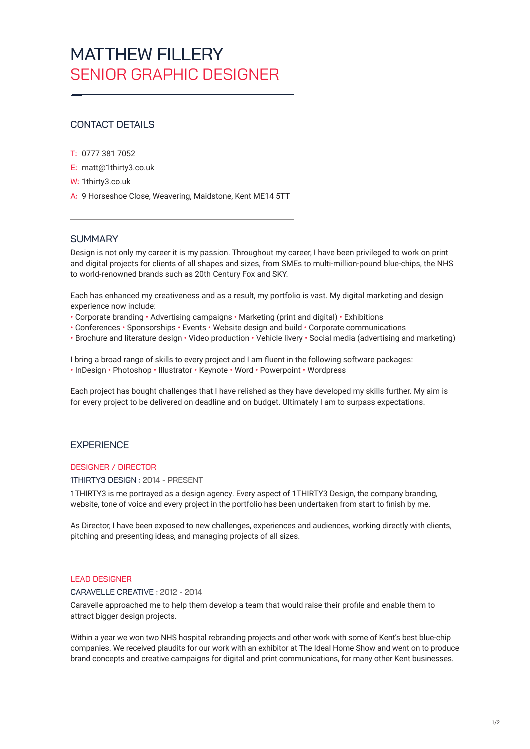# MATTHEW FILL FRY SENIOR GRAPHIC DESIGNER

# CONTACT DETAILS

- T: 0777 381 7052
- E: [matt@1thirty3.co.uk](mailto:Matt%401THIRTY3.co.uk?subject=Job%20application)
- W: [1thirty3.co.uk](http://1thirty3.co.uk)
- A: 9 Horseshoe Close, Weavering, Maidstone, Kent ME14 5TT

## **SUMMARY**

Design is not only my career it is my passion. Throughout my career, I have been privileged to work on print and digital projects for clients of all shapes and sizes, from SMEs to multi-million-pound blue-chips, the NHS to world-renowned brands such as 20th Century Fox and SKY.

Each has enhanced my creativeness and as a result, my portfolio is vast. My digital marketing and design experience now include:

- Corporate branding Advertising campaigns Marketing (print and digital) Exhibitions
- Conferences Sponsorships Events Website design and build Corporate communications
- Brochure and literature design Video production Vehicle livery Social media (advertising and marketing)

I bring a broad range of skills to every project and I am fluent in the following software packages: • InDesign • Photoshop • Illustrator • Keynote • Word • Powerpoint • Wordpress

Each project has bought challenges that I have relished as they have developed my skills further. My aim is for every project to be delivered on deadline and on budget. Ultimately I am to surpass expectations.

## **EXPERIENCE**

## DESIGNER / DIRECTOR

#### 1THIRTY3 DESIGN : 2014 - PRESENT

1THIRTY3 is me portrayed as a design agency. Every aspect of 1THIRTY3 Design, the company branding, website, tone of voice and every project in the portfolio has been undertaken from start to finish by me.

As Director, I have been exposed to new challenges, experiences and audiences, working directly with clients, pitching and presenting ideas, and managing projects of all sizes.

## LEAD DESIGNER

CARAVELLE CREATIVE : 2012 - 2014

Caravelle approached me to help them develop a team that would raise their profile and enable them to attract bigger design projects.

Within a year we won two NHS hospital rebranding projects and other work with some of Kent's best blue-chip companies. We received plaudits for our work with an exhibitor at The Ideal Home Show and went on to produce brand concepts and creative campaigns for digital and print communications, for many other Kent businesses.